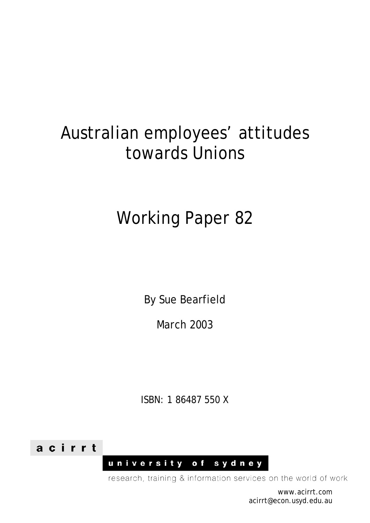## Australian employees' attitudes towards Unions

# Working Paper 82

By Sue Bearfield

March 2003

ISBN: 1 86487 550 X



university of sydney

research, training & information services on the world of work

www.acirrt.com acirrt@econ.usyd.edu.au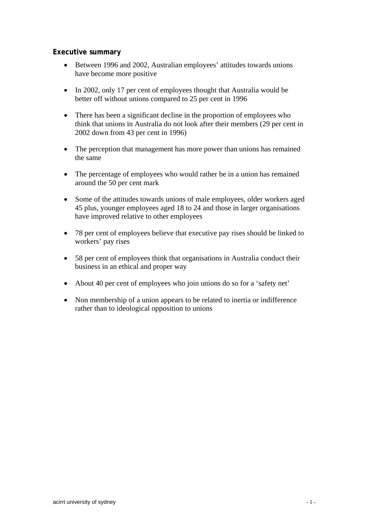## **Executive summary**

- Between 1996 and 2002, Australian employees' attitudes towards unions have become more positive
- In 2002, only 17 per cent of employees thought that Australia would be better off without unions compared to 25 per cent in 1996
- There has been a significant decline in the proportion of employees who think that unions in Australia do not look after their members (29 per cent in 2002 down from 43 per cent in 1996)
- The perception that management has more power than unions has remained the same
- The percentage of employees who would rather be in a union has remained around the 50 per cent mark
- Some of the attitudes towards unions of male employees, older workers aged 45 plus, younger employees aged 18 to 24 and those in larger organisations have improved relative to other employees
- 78 per cent of employees believe that executive pay rises should be linked to workers' pay rises
- 58 per cent of employees think that organisations in Australia conduct their business in an ethical and proper way
- About 40 per cent of employees who join unions do so for a 'safety net'
- Non membership of a union appears to be related to inertia or indifference rather than to ideological opposition to unions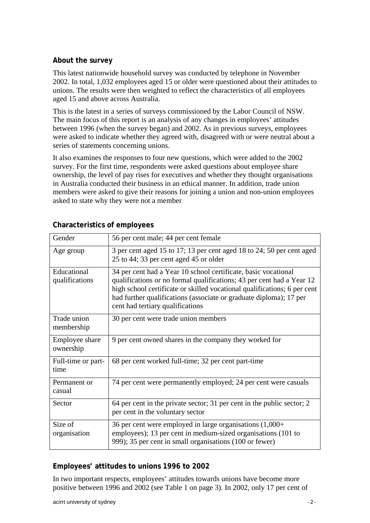## **About the survey**

This latest nationwide household survey was conducted by telephone in November 2002. In total, 1,032 employees aged 15 or older were questioned about their attitudes to unions. The results were then weighted to reflect the characteristics of all employees aged 15 and above across Australia.

This is the latest in a series of surveys commissioned by the Labor Council of NSW. The main focus of this report is an analysis of any changes in employees' attitudes between 1996 (when the survey began) and 2002. As in previous surveys, employees were asked to indicate whether they agreed with, disagreed with or were neutral about a series of statements concerning unions.

It also examines the responses to four new questions, which were added to the 2002 survey. For the first time, respondents were asked questions about employee share ownership, the level of pay rises for executives and whether they thought organisations in Australia conducted their business in an ethical manner. In addition, trade union members were asked to give their reasons for joining a union and non-union employees asked to state why they were not a member

| Gender                        | 56 per cent male; 44 per cent female                                                                                                                                                                                                                                                                                          |
|-------------------------------|-------------------------------------------------------------------------------------------------------------------------------------------------------------------------------------------------------------------------------------------------------------------------------------------------------------------------------|
| Age group                     | 3 per cent aged 15 to 17; 13 per cent aged 18 to 24; 50 per cent aged<br>25 to 44; 33 per cent aged 45 or older                                                                                                                                                                                                               |
| Educational<br>qualifications | 34 per cent had a Year 10 school certificate, basic vocational<br>qualifications or no formal qualifications; 43 per cent had a Year 12<br>high school certificate or skilled vocational qualifications; 6 per cent<br>had further qualifications (associate or graduate diploma); 17 per<br>cent had tertiary qualifications |
| Trade union<br>membership     | 30 per cent were trade union members                                                                                                                                                                                                                                                                                          |
| Employee share<br>ownership   | 9 per cent owned shares in the company they worked for                                                                                                                                                                                                                                                                        |
| Full-time or part-<br>time    | 68 per cent worked full-time; 32 per cent part-time                                                                                                                                                                                                                                                                           |
| Permanent or<br>casual        | 74 per cent were permanently employed; 24 per cent were casuals                                                                                                                                                                                                                                                               |
| Sector                        | 64 per cent in the private sector; 31 per cent in the public sector; 2<br>per cent in the voluntary sector                                                                                                                                                                                                                    |
| Size of<br>organisation       | 36 per cent were employed in large organisations $(1,000+)$<br>employees); 13 per cent in medium-sized organisations (101 to<br>999); 35 per cent in small organisations (100 or fewer)                                                                                                                                       |

## **Characteristics of employees**

## **Employees' attitudes to unions 1996 to 2002**

In two important respects, employees' attitudes towards unions have become more positive between 1996 and 2002 (see Table 1 on page 3). In 2002, only 17 per cent of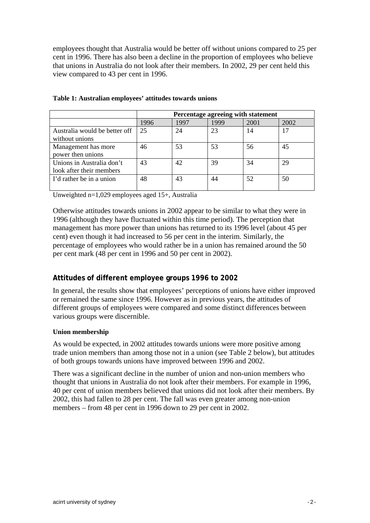employees thought that Australia would be better off without unions compared to 25 per cent in 1996. There has also been a decline in the proportion of employees who believe that unions in Australia do not look after their members. In 2002, 29 per cent held this view compared to 43 per cent in 1996.

|                               | Percentage agreeing with statement |      |      |      |      |  |  |  |  |
|-------------------------------|------------------------------------|------|------|------|------|--|--|--|--|
|                               | 1996                               | 1997 | 1999 | 2001 | 2002 |  |  |  |  |
| Australia would be better off | 25                                 | 24   | 23   | 14   |      |  |  |  |  |
| without unions                |                                    |      |      |      |      |  |  |  |  |
| Management has more           | 46                                 | 53   | 53   | 56   | 45   |  |  |  |  |
| power then unions             |                                    |      |      |      |      |  |  |  |  |
| Unions in Australia don't     | 43                                 | 42   | 39   | 34   | 29   |  |  |  |  |
| look after their members      |                                    |      |      |      |      |  |  |  |  |
| I'd rather be in a union      | 48                                 | 43   | 44   | 52   | 50   |  |  |  |  |
|                               |                                    |      |      |      |      |  |  |  |  |

### **Table 1: Australian employees' attitudes towards unions**

Unweighted n=1,029 employees aged 15+, Australia

Otherwise attitudes towards unions in 2002 appear to be similar to what they were in 1996 (although they have fluctuated within this time period). The perception that management has more power than unions has returned to its 1996 level (about 45 per cent) even though it had increased to 56 per cent in the interim. Similarly, the percentage of employees who would rather be in a union has remained around the 50 per cent mark (48 per cent in 1996 and 50 per cent in 2002).

## **Attitudes of different employee groups 1996 to 2002**

In general, the results show that employees' perceptions of unions have either improved or remained the same since 1996. However as in previous years, the attitudes of different groups of employees were compared and some distinct differences between various groups were discernible.

## **Union membership**

As would be expected, in 2002 attitudes towards unions were more positive among trade union members than among those not in a union (see Table 2 below), but attitudes of both groups towards unions have improved between 1996 and 2002.

There was a significant decline in the number of union and non-union members who thought that unions in Australia do not look after their members. For example in 1996, 40 per cent of union members believed that unions did not look after their members. By 2002, this had fallen to 28 per cent. The fall was even greater among non-union members – from 48 per cent in 1996 down to 29 per cent in 2002.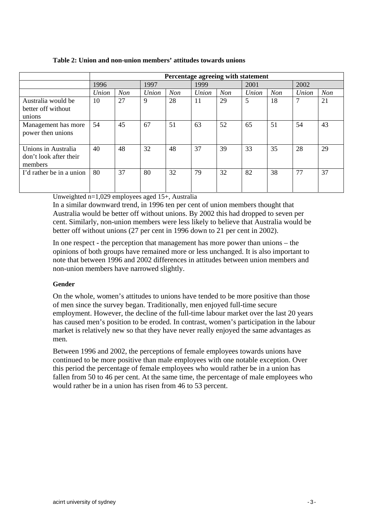|                                                          |       | Percentage agreeing with statement |       |     |       |            |       |            |       |            |  |
|----------------------------------------------------------|-------|------------------------------------|-------|-----|-------|------------|-------|------------|-------|------------|--|
|                                                          | 1996  |                                    | 1997  |     |       | 1999       |       | 2001       |       |            |  |
|                                                          | Union | <b>Non</b>                         | Union | Non | Union | <b>Non</b> | Union | <b>Non</b> | Union | <b>Non</b> |  |
| Australia would be<br>better off without<br>unions       | 10    | 27                                 | 9     | 28  | 11    | 29         | 5     | 18         | 7     | 21         |  |
| Management has more<br>power then unions                 | 54    | 45                                 | 67    | 51  | 63    | 52         | 65    | 51         | 54    | 43         |  |
| Unions in Australia<br>don't look after their<br>members | 40    | 48                                 | 32    | 48  | 37    | 39         | 33    | 35         | 28    | 29         |  |
| I'd rather be in a union                                 | 80    | 37                                 | 80    | 32  | 79    | 32         | 82    | 38         | 77    | 37         |  |

### **Table 2: Union and non-union members' attitudes towards unions**

Unweighted n=1,029 employees aged 15+, Australia

In a similar downward trend, in 1996 ten per cent of union members thought that Australia would be better off without unions. By 2002 this had dropped to seven per cent. Similarly, non-union members were less likely to believe that Australia would be better off without unions (27 per cent in 1996 down to 21 per cent in 2002).

In one respect - the perception that management has more power than unions – the opinions of both groups have remained more or less unchanged. It is also important to note that between 1996 and 2002 differences in attitudes between union members and non-union members have narrowed slightly.

## **Gender**

On the whole, women's attitudes to unions have tended to be more positive than those of men since the survey began. Traditionally, men enjoyed full-time secure employment. However, the decline of the full-time labour market over the last 20 years has caused men's position to be eroded. In contrast, women's participation in the labour market is relatively new so that they have never really enjoyed the same advantages as men.

Between 1996 and 2002, the perceptions of female employees towards unions have continued to be more positive than male employees with one notable exception. Over this period the percentage of female employees who would rather be in a union has fallen from 50 to 46 per cent. At the same time, the percentage of male employees who would rather be in a union has risen from 46 to 53 percent.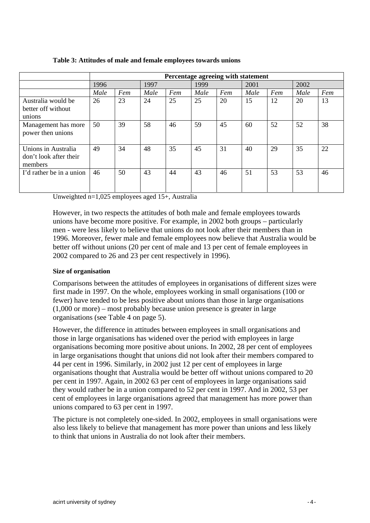|                                                          |      | Percentage agreeing with statement |      |     |      |     |      |     |      |     |
|----------------------------------------------------------|------|------------------------------------|------|-----|------|-----|------|-----|------|-----|
|                                                          | 1996 |                                    | 1997 |     | 1999 |     | 2001 |     | 2002 |     |
|                                                          | Male | Fem                                | Male | Fem | Male | Fem | Male | Fem | Male | Fem |
| Australia would be<br>better off without<br>unions       | 26   | 23                                 | 24   | 25  | 25   | 20  | 15   | 12  | 20   | 13  |
| Management has more<br>power then unions                 | 50   | 39                                 | 58   | 46  | 59   | 45  | 60   | 52  | 52   | 38  |
| Unions in Australia<br>don't look after their<br>members | 49   | 34                                 | 48   | 35  | 45   | 31  | 40   | 29  | 35   | 22  |
| I'd rather be in a union                                 | 46   | 50                                 | 43   | 44  | 43   | 46  | 51   | 53  | 53   | 46  |

#### **Table 3: Attitudes of male and female employees towards unions**

Unweighted n=1,025 employees aged 15+, Australia

However, in two respects the attitudes of both male and female employees towards unions have become more positive. For example, in 2002 both groups – particularly men - were less likely to believe that unions do not look after their members than in 1996. Moreover, fewer male and female employees now believe that Australia would be better off without unions (20 per cent of male and 13 per cent of female employees in 2002 compared to 26 and 23 per cent respectively in 1996).

## **Size of organisation**

Comparisons between the attitudes of employees in organisations of different sizes were first made in 1997. On the whole, employees working in small organisations (100 or fewer) have tended to be less positive about unions than those in large organisations (1,000 or more) – most probably because union presence is greater in large organisations (see Table 4 on page 5).

However, the difference in attitudes between employees in small organisations and those in large organisations has widened over the period with employees in large organisations becoming more positive about unions. In 2002, 28 per cent of employees in large organisations thought that unions did not look after their members compared to 44 per cent in 1996. Similarly, in 2002 just 12 per cent of employees in large organisations thought that Australia would be better off without unions compared to 20 per cent in 1997. Again, in 2002 63 per cent of employees in large organisations said they would rather be in a union compared to 52 per cent in 1997. And in 2002, 53 per cent of employees in large organisations agreed that management has more power than unions compared to 63 per cent in 1997.

The picture is not completely one-sided. In 2002, employees in small organisations were also less likely to believe that management has more power than unions and less likely to think that unions in Australia do not look after their members.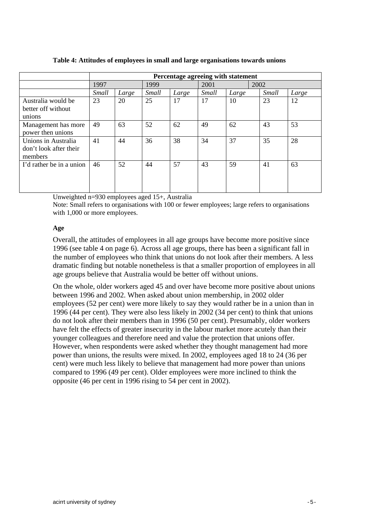|                          |       | Percentage agreeing with statement |       |       |       |       |       |       |  |  |
|--------------------------|-------|------------------------------------|-------|-------|-------|-------|-------|-------|--|--|
|                          | 1997  |                                    | 1999  |       | 2001  |       | 2002  |       |  |  |
|                          | Small | Large                              | Small | Large | Small | Large | Small | Large |  |  |
| Australia would be       | 23    | 20                                 | 25    | 17    | 17    | 10    | 23    | 12    |  |  |
| better off without       |       |                                    |       |       |       |       |       |       |  |  |
| unions                   |       |                                    |       |       |       |       |       |       |  |  |
| Management has more      | 49    | 63                                 | 52    | 62    | 49    | 62    | 43    | 53    |  |  |
| power then unions        |       |                                    |       |       |       |       |       |       |  |  |
| Unions in Australia      | 41    | 44                                 | 36    | 38    | 34    | 37    | 35    | 28    |  |  |
| don't look after their   |       |                                    |       |       |       |       |       |       |  |  |
| members                  |       |                                    |       |       |       |       |       |       |  |  |
| I'd rather be in a union | 46    | 52                                 | 44    | 57    | 43    | 59    | 41    | 63    |  |  |
|                          |       |                                    |       |       |       |       |       |       |  |  |
|                          |       |                                    |       |       |       |       |       |       |  |  |
|                          |       |                                    |       |       |       |       |       |       |  |  |

**Table 4: Attitudes of employees in small and large organisations towards unions** 

Unweighted n=930 employees aged 15+, Australia

Note: Small refers to organisations with 100 or fewer employees; large refers to organisations with 1,000 or more employees.

## **Age**

Overall, the attitudes of employees in all age groups have become more positive since 1996 (see table 4 on page 6). Across all age groups, there has been a significant fall in the number of employees who think that unions do not look after their members. A less dramatic finding but notable nonetheless is that a smaller proportion of employees in all age groups believe that Australia would be better off without unions.

On the whole, older workers aged 45 and over have become more positive about unions between 1996 and 2002. When asked about union membership, in 2002 older employees (52 per cent) were more likely to say they would rather be in a union than in 1996 (44 per cent). They were also less likely in 2002 (34 per cent) to think that unions do not look after their members than in 1996 (50 per cent). Presumably, older workers have felt the effects of greater insecurity in the labour market more acutely than their younger colleagues and therefore need and value the protection that unions offer. However, when respondents were asked whether they thought management had more power than unions, the results were mixed. In 2002, employees aged 18 to 24 (36 per cent) were much less likely to believe that management had more power than unions compared to 1996 (49 per cent). Older employees were more inclined to think the opposite (46 per cent in 1996 rising to 54 per cent in 2002).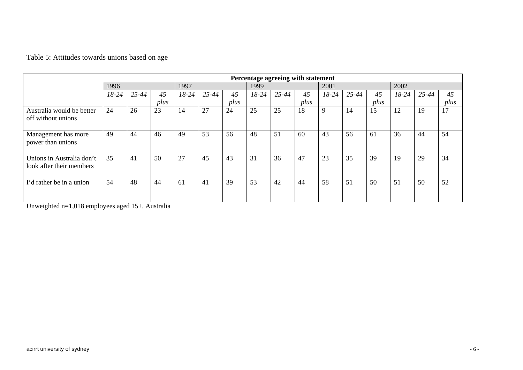|                                                       |       | Percentage agreeing with statement |      |           |           |      |         |       |      |             |       |      |         |       |      |
|-------------------------------------------------------|-------|------------------------------------|------|-----------|-----------|------|---------|-------|------|-------------|-------|------|---------|-------|------|
|                                                       | 1996  |                                    |      | 1997      |           |      | 1999    |       |      | 2001        |       |      | 2002    |       |      |
|                                                       | 18-24 | 25-44                              | 45   | $18 - 24$ | $25 - 44$ | 45   | $18-24$ | 25-44 | 45   | 18-24       | 25-44 | 45   | $18-24$ | 25-44 | 45   |
|                                                       |       |                                    | plus |           |           | plus |         |       | plus |             |       | plus |         |       | plus |
| Australia would be better<br>off without unions       | 24    | 26                                 | 23   | 14        | 27        | 24   | 25      | 25    | 18   | $\mathbf Q$ | 14    | 15   | 12      | 19    | 17   |
| Management has more<br>power than unions              | 49    | 44                                 | 46   | 49        | 53        | 56   | 48      | 51    | 60   | 43          | 56    | 61   | 36      | 44    | 54   |
| Unions in Australia don't<br>look after their members | 35    | 41                                 | 50   | 27        | 45        | 43   | 31      | 36    | 47   | 23          | 35    | 39   | 19      | 29    | 34   |
| I'd rather be in a union                              | 54    | 48                                 | 44   | 61        | 41        | 39   | 53      | 42    | 44   | 58          | 51    | 50   | 51      | 50    | 52   |

Table 5: Attitudes towards unions based on age

Unweighted n=1,018 employees aged 15+, Australia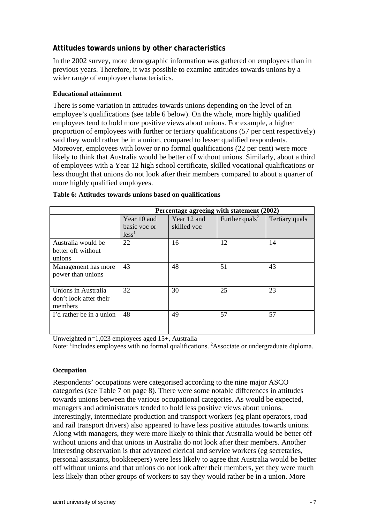## **Attitudes towards unions by other characteristics**

In the 2002 survey, more demographic information was gathered on employees than in previous years. Therefore, it was possible to examine attitudes towards unions by a wider range of employee characteristics.

## **Educational attainment**

There is some variation in attitudes towards unions depending on the level of an employee's qualifications (see table 6 below). On the whole, more highly qualified employees tend to hold more positive views about unions. For example, a higher proportion of employees with further or tertiary qualifications (57 per cent respectively) said they would rather be in a union, compared to lesser qualified respondents. Moreover, employees with lower or no formal qualifications (22 per cent) were more likely to think that Australia would be better off without unions. Similarly, about a third of employees with a Year 12 high school certificate, skilled vocational qualifications or less thought that unions do not look after their members compared to about a quarter of more highly qualified employees.

|                                                          |                                                  | Percentage agreeing with statement (2002) |                            |                |
|----------------------------------------------------------|--------------------------------------------------|-------------------------------------------|----------------------------|----------------|
|                                                          | Year 10 and<br>basic voc or<br>less <sup>1</sup> | Year 12 and<br>skilled voc                | Further quals <sup>2</sup> | Tertiary quals |
| Australia would be<br>better off without<br>unions       | 22                                               | 16                                        | 12                         | 14             |
| Management has more<br>power than unions                 | 43                                               | 48                                        | 51                         | 43             |
| Unions in Australia<br>don't look after their<br>members | 32                                               | 30                                        | 25                         | 23             |
| I'd rather be in a union                                 | 48                                               | 49                                        | 57                         | 57             |

#### **Table 6: Attitudes towards unions based on qualifications**

Unweighted n=1,023 employees aged 15+, Australia

Note: <sup>1</sup>Includes employees with no formal qualifications. <sup>2</sup>Associate or undergraduate diploma.

#### **Occupation**

Respondents' occupations were categorised according to the nine major ASCO categories (see Table 7 on page 8). There were some notable differences in attitudes towards unions between the various occupational categories. As would be expected, managers and administrators tended to hold less positive views about unions. Interestingly, intermediate production and transport workers (eg plant operators, road and rail transport drivers) also appeared to have less positive attitudes towards unions. Along with managers, they were more likely to think that Australia would be better off without unions and that unions in Australia do not look after their members. Another interesting observation is that advanced clerical and service workers (eg secretaries, personal assistants, bookkeepers) were less likely to agree that Australia would be better off without unions and that unions do not look after their members, yet they were much less likely than other groups of workers to say they would rather be in a union. More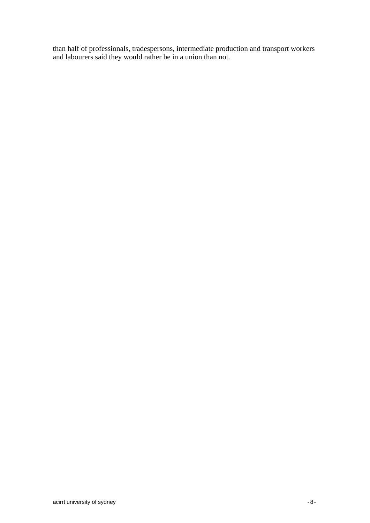than half of professionals, tradespersons, intermediate production and transport workers and labourers said they would rather be in a union than not.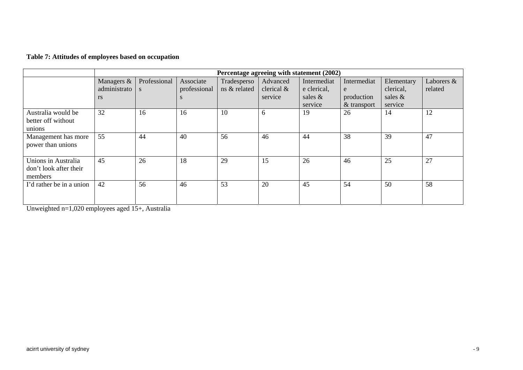| Table 7: Attitudes of employees based on occupation |  |
|-----------------------------------------------------|--|
|-----------------------------------------------------|--|

|                                                          |                              | Percentage agreeing with statement (2002) |                           |                             |                        |                            |                             |                         |                       |  |
|----------------------------------------------------------|------------------------------|-------------------------------------------|---------------------------|-----------------------------|------------------------|----------------------------|-----------------------------|-------------------------|-----------------------|--|
|                                                          | Managers &<br>administrato s | Professional                              | Associate<br>professional | Tradesperso<br>ns & related | Advanced<br>clerical & | Intermediat<br>e clerical, | Intermediat<br>e            | Elementary<br>clerical, | Laborers &<br>related |  |
|                                                          | <b>rs</b>                    |                                           | S                         |                             | service                | sales $\&$<br>service      | production<br>$&$ transport | sales &<br>service      |                       |  |
| Australia would be<br>better off without<br>unions       | 32                           | 16                                        | 16                        | 10                          | 6                      | 19                         | 26                          | 14                      | 12                    |  |
| Management has more<br>power than unions                 | 55                           | 44                                        | 40                        | 56                          | 46                     | 44                         | 38                          | 39                      | 47                    |  |
| Unions in Australia<br>don't look after their<br>members | 45                           | 26                                        | 18                        | 29                          | 15                     | 26                         | 46                          | 25                      | 27                    |  |
| I'd rather be in a union                                 | 42                           | 56                                        | 46                        | 53                          | 20                     | 45                         | 54                          | 50                      | 58                    |  |

Unweighted n=1,020 employees aged 15+, Australia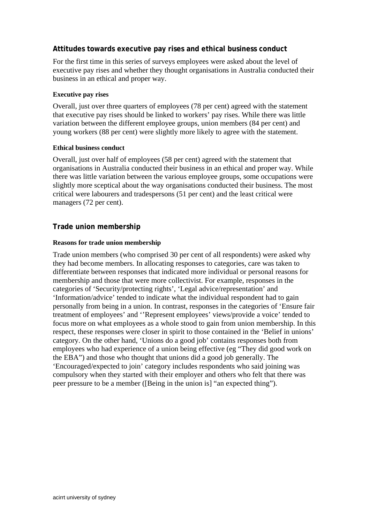## **Attitudes towards executive pay rises and ethical business conduct**

For the first time in this series of surveys employees were asked about the level of executive pay rises and whether they thought organisations in Australia conducted their business in an ethical and proper way.

## **Executive pay rises**

Overall, just over three quarters of employees (78 per cent) agreed with the statement that executive pay rises should be linked to workers' pay rises. While there was little variation between the different employee groups, union members (84 per cent) and young workers (88 per cent) were slightly more likely to agree with the statement.

## **Ethical business conduct**

Overall, just over half of employees (58 per cent) agreed with the statement that organisations in Australia conducted their business in an ethical and proper way. While there was little variation between the various employee groups, some occupations were slightly more sceptical about the way organisations conducted their business. The most critical were labourers and tradespersons (51 per cent) and the least critical were managers (72 per cent).

## **Trade union membership**

## **Reasons for trade union membership**

Trade union members (who comprised 30 per cent of all respondents) were asked why they had become members. In allocating responses to categories, care was taken to differentiate between responses that indicated more individual or personal reasons for membership and those that were more collectivist. For example, responses in the categories of 'Security/protecting rights', 'Legal advice/representation' and 'Information/advice' tended to indicate what the individual respondent had to gain personally from being in a union. In contrast, responses in the categories of 'Ensure fair treatment of employees' and ''Represent employees' views/provide a voice' tended to focus more on what employees as a whole stood to gain from union membership. In this respect, these responses were closer in spirit to those contained in the 'Belief in unions' category. On the other hand, 'Unions do a good job' contains responses both from employees who had experience of a union being effective (eg "They did good work on the EBA") and those who thought that unions did a good job generally. The 'Encouraged/expected to join' category includes respondents who said joining was compulsory when they started with their employer and others who felt that there was peer pressure to be a member ([Being in the union is] "an expected thing").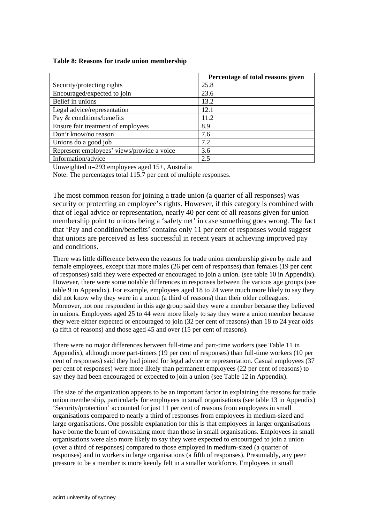#### **Table 8: Reasons for trade union membership**

|                                            | Percentage of total reasons given |
|--------------------------------------------|-----------------------------------|
| Security/protecting rights                 | 25.8                              |
| Encouraged/expected to join                | 23.6                              |
| Belief in unions                           | 13.2                              |
| Legal advice/representation                | 12.1                              |
| Pay & conditions/benefits                  | 11.2                              |
| Ensure fair treatment of employees         | 8.9                               |
| Don't know/no reason                       | 7.6                               |
| Unions do a good job                       | 7.2                               |
| Represent employees' views/provide a voice | 3.6                               |
| Information/advice                         | 2.5                               |

Unweighted n=293 employees aged 15+, Australia

Note: The percentages total 115.7 per cent of multiple responses.

The most common reason for joining a trade union (a quarter of all responses) was security or protecting an employee's rights. However, if this category is combined with that of legal advice or representation, nearly 40 per cent of all reasons given for union membership point to unions being a 'safety net' in case something goes wrong. The fact that 'Pay and condition/benefits' contains only 11 per cent of responses would suggest that unions are perceived as less successful in recent years at achieving improved pay and conditions.

There was little difference between the reasons for trade union membership given by male and female employees, except that more males (26 per cent of responses) than females (19 per cent of responses) said they were expected or encouraged to join a union. (see table 10 in Appendix). However, there were some notable differences in responses between the various age groups (see table 9 in Appendix). For example, employees aged 18 to 24 were much more likely to say they did not know why they were in a union (a third of reasons) than their older colleagues. Moreover, not one respondent in this age group said they were a member because they believed in unions. Employees aged 25 to 44 were more likely to say they were a union member because they were either expected or encouraged to join (32 per cent of reasons) than 18 to 24 year olds (a fifth of reasons) and those aged 45 and over (15 per cent of reasons).

There were no major differences between full-time and part-time workers (see Table 11 in Appendix), although more part-timers (19 per cent of responses) than full-time workers (10 per cent of responses) said they had joined for legal advice or representation. Casual employees (37 per cent of responses) were more likely than permanent employees (22 per cent of reasons) to say they had been encouraged or expected to join a union (see Table 12 in Appendix).

The size of the organization appears to be an important factor in explaining the reasons for trade union membership, particularly for employees in small organisations (see table 13 in Appendix) 'Security/protection' accounted for just 11 per cent of reasons from employees in small organisations compared to nearly a third of responses from employees in medium-sized and large organisations. One possible explanation for this is that employees in larger organisations have borne the brunt of downsizing more than those in small organisations. Employees in small organisations were also more likely to say they were expected to encouraged to join a union (over a third of responses) compared to those employed in medium-sized (a quarter of responses) and to workers in large organisations (a fifth of responses). Presumably, any peer pressure to be a member is more keenly felt in a smaller workforce. Employees in small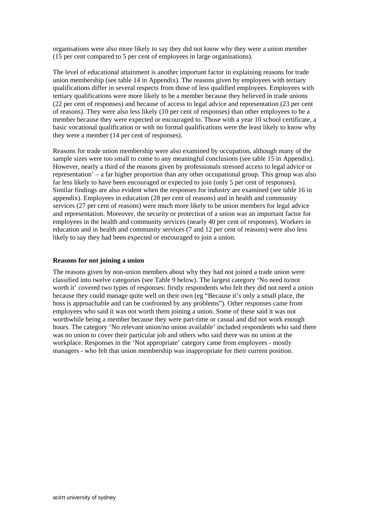organisations were also more likely to say they did not know why they were a union member (15 per cent compared to 5 per cent of employees in large organisations).

The level of educational attainment is another important factor in explaining reasons for trade union membership (see table 14 in Appendix). The reasons given by employees with tertiary qualifications differ in several respects from those of less qualified employees. Employees with tertiary qualifications were more likely to be a member because they believed in trade unions (22 per cent of responses) and because of access to legal advice and representation (23 per cent of reasons). They were also less likely (10 per cent of responses) than other employees to be a member because they were expected or encouraged to. Those with a year 10 school certificate, a basic vocational qualification or with no formal qualifications were the least likely to know why they were a member (14 per cent of responses).

Reasons for trade union membership were also examined by occupation, although many of the sample sizes were too small to come to any meaningful conclusions (see table 15 in Appendix). However, nearly a third of the reasons given by professionals stressed access to legal advice or representation' – a far higher proportion than any other occupational group. This group was also far less likely to have been encouraged or expected to join (only 5 per cent of responses). Similar findings are also evident when the responses for industry are examined (see table 16 in appendix). Employees in education (28 per cent of reasons) and in health and community services (27 per cent of reasons) were much more likely to be union members for legal advice and representation. Moreover, the security or protection of a union was an important factor for employees in the health and community services (nearly 40 per cent of responses). Workers in education and in health and community services (7 and 12 per cent of reasons) were also less likely to say they had been expected or encouraged to join a union.

#### **Reasons for not joining a union**

The reasons given by non-union members about why they had not joined a trade union were classified into twelve categories (see Table 9 below). The largest category 'No need to/not worth it' covered two types of responses: firstly respondents who felt they did not need a union because they could manage quite well on their own (eg "Because it's only a small place, the boss is approachable and can be confronted by any problems"). Other responses came from employees who said it was not worth them joining a union. Some of these said it was not worthwhile being a member because they were part-time or casual and did not work enough hours. The category 'No relevant union/no union available' included respondents who said there was no union to cover their particular job and others who said there was no union at the workplace. Responses in the 'Not appropriate' category came from employees - mostly managers - who felt that union membership was inappropriate for their current position.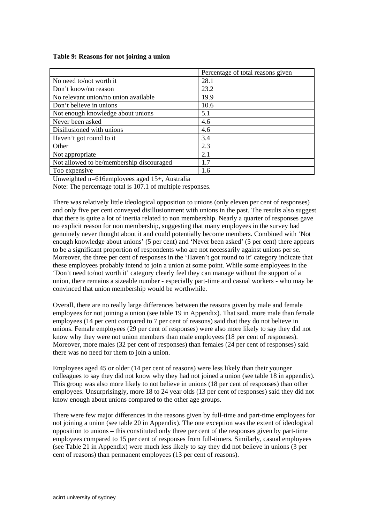#### **Table 9: Reasons for not joining a union**

|                                          | Percentage of total reasons given |
|------------------------------------------|-----------------------------------|
| No need to/not worth it                  | 28.1                              |
| Don't know/no reason                     | 23.2                              |
| No relevant union/no union available     | 19.9                              |
| Don't believe in unions                  | 10.6                              |
| Not enough knowledge about unions        | 5.1                               |
| Never been asked                         | 4.6                               |
| Disillusioned with unions                | 4.6                               |
| Haven't got round to it                  | 3.4                               |
| Other                                    | 2.3                               |
| Not appropriate                          | 2.1                               |
| Not allowed to be/membership discouraged | 1.7                               |
| Too expensive                            | 1.6                               |

Unweighted n=616employees aged 15+, Australia

Note: The percentage total is 107.1 of multiple responses.

There was relatively little ideological opposition to unions (only eleven per cent of responses) and only five per cent conveyed disillusionment with unions in the past. The results also suggest that there is quite a lot of inertia related to non membership. Nearly a quarter of responses gave no explicit reason for non membership, suggesting that many employees in the survey had genuinely never thought about it and could potentially become members. Combined with 'Not enough knowledge about unions' (5 per cent) and 'Never been asked' (5 per cent) there appears to be a significant proportion of respondents who are not necessarily against unions per se. Moreover, the three per cent of responses in the 'Haven't got round to it' category indicate that these employees probably intend to join a union at some point. While some employees in the 'Don't need to/not worth it' category clearly feel they can manage without the support of a union, there remains a sizeable number - especially part-time and casual workers - who may be convinced that union membership would be worthwhile.

Overall, there are no really large differences between the reasons given by male and female employees for not joining a union (see table 19 in Appendix). That said, more male than female employees (14 per cent compared to 7 per cent of reasons) said that they do not believe in unions. Female employees (29 per cent of responses) were also more likely to say they did not know why they were not union members than male employees (18 per cent of responses). Moreover, more males (32 per cent of responses) than females (24 per cent of responses) said there was no need for them to join a union.

Employees aged 45 or older (14 per cent of reasons) were less likely than their younger colleagues to say they did not know why they had not joined a union (see table 18 in appendix). This group was also more likely to not believe in unions (18 per cent of responses) than other employees. Unsurprisingly, more 18 to 24 year olds (13 per cent of responses) said they did not know enough about unions compared to the other age groups.

There were few major differences in the reasons given by full-time and part-time employees for not joining a union (see table 20 in Appendix). The one exception was the extent of ideological opposition to unions – this constituted only three per cent of the responses given by part-time employees compared to 15 per cent of responses from full-timers. Similarly, casual employees (see Table 21 in Appendix) were much less likely to say they did not believe in unions (3 per cent of reasons) than permanent employees (13 per cent of reasons).